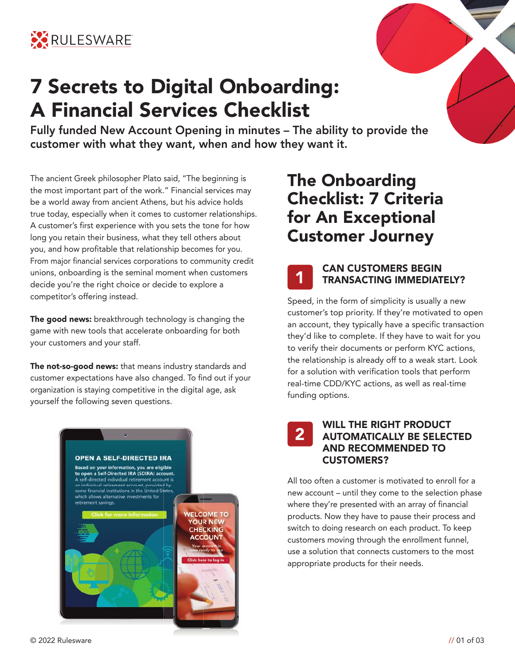

# **7 Secrets to Digital Onboarding: A Financial Services Checklist**

**Fully funded New Account Opening in minutes – The ability to provide the customer with what they want, when and how they want it.** 

The ancient Greek philosopher Plato said, "The beginning is the most important part of the work." Financial services may be a world away from ancient Athens, but his advice holds true today, especially when it comes to customer relationships. A customer's first experience with you sets the tone for how long you retain their business, what they tell others about you, and how profitable that relationship becomes for you. From major financial services corporations to community credit unions, onboarding is the seminal moment when customers decide you're the right choice or decide to explore a competitor's offering instead.

**The good news:** breakthrough technology is changing the game with new tools that accelerate onboarding for both your customers and your staff.

**The not-so-good news:** that means industry standards and customer expectations have also changed. To find out if your organization is staying competitive in the digital age, ask yourself the following seven questions.



# **The Onboarding Checklist: 7 Criteria for An Exceptional Customer Journey**



#### **CAN CUSTOMERS BEGIN TRANSACTING IMMEDIATELY?**

Speed, in the form of simplicity is usually a new customer's top priority. If they're motivated to open an account, they typically have a specific transaction they'd like to complete. If they have to wait for you to verify their documents or perform KYC actions, the relationship is already off to a weak start. Look for a solution with verification tools that perform real-time CDD/KYC actions, as well as real-time funding options.

#### **WILL THE RIGHT PRODUCT AUTOMATICALLY BE SELECTED AND RECOMMENDED TO CUSTOMERS? 2**

All too often a customer is motivated to enroll for a new account – until they come to the selection phase where they're presented with an array of financial products. Now they have to pause their process and switch to doing research on each product. To keep customers moving through the enrollment funnel, use a solution that connects customers to the most appropriate products for their needs.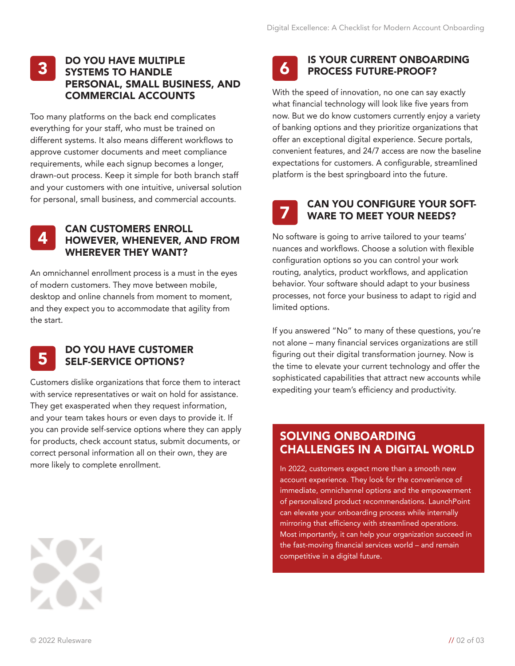#### **DO YOU HAVE MULTIPLE SYSTEMS TO HANDLE PERSONAL, SMALL BUSINESS, AND COMMERCIAL ACCOUNTS 3**

Too many platforms on the back end complicates everything for your staff, who must be trained on different systems. It also means different workflows to approve customer documents and meet compliance requirements, while each signup becomes a longer, drawn-out process. Keep it simple for both branch staff and your customers with one intuitive, universal solution for personal, small business, and commercial accounts.



#### **CAN CUSTOMERS ENROLL HOWEVER, WHENEVER, AND FROM WHEREVER THEY WANT?**

An omnichannel enrollment process is a must in the eyes of modern customers. They move between mobile, desktop and online channels from moment to moment, and they expect you to accommodate that agility from the start.



#### **DO YOU HAVE CUSTOMER SELF-SERVICE OPTIONS?**

Customers dislike organizations that force them to interact with service representatives or wait on hold for assistance. They get exasperated when they request information, and your team takes hours or even days to provide it. If you can provide self-service options where they can apply for products, check account status, submit documents, or correct personal information all on their own, they are more likely to complete enrollment.



#### **IS YOUR CURRENT ONBOARDING PROCESS FUTURE-PROOF?**

With the speed of innovation, no one can say exactly what financial technology will look like five years from now. But we do know customers currently enjoy a variety of banking options and they prioritize organizations that offer an exceptional digital experience. Secure portals, convenient features, and 24/7 access are now the baseline expectations for customers. A configurable, streamlined platform is the best springboard into the future.

**7**

#### **CAN YOU CONFIGURE YOUR SOFT-WARE TO MEET YOUR NEEDS?**

No software is going to arrive tailored to your teams' nuances and workflows. Choose a solution with flexible configuration options so you can control your work routing, analytics, product workflows, and application behavior. Your software should adapt to your business processes, not force your business to adapt to rigid and limited options.

If you answered "No" to many of these questions, you're not alone – many financial services organizations are still figuring out their digital transformation journey. Now is the time to elevate your current technology and offer the sophisticated capabilities that attract new accounts while expediting your team's efficiency and productivity.

### **SOLVING ONBOARDING CHALLENGES IN A DIGITAL WORLD**

In 2022, customers expect more than a smooth new account experience. They look for the convenience of immediate, omnichannel options and the empowerment of personalized product recommendations. LaunchPoint can elevate your onboarding process while internally mirroring that efficiency with streamlined operations. Most importantly, it can help your organization succeed in the fast-moving financial services world – and remain competitive in a digital future.